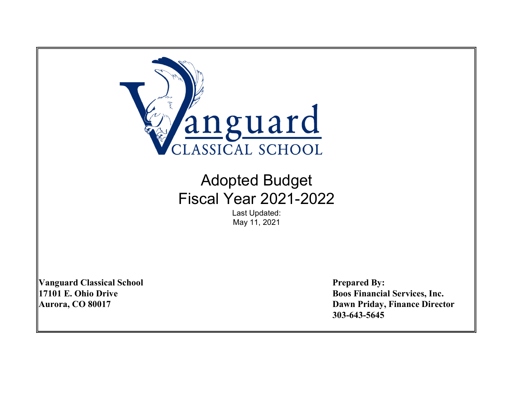

# Adopted Budget Fiscal Year 2021-2022

Last Updated: May 11, 2021

Vanguard Classical School **Prepared By:** 

17101 E. Ohio Drive Boos Financial Services, Inc. Aurora, CO 80017 Dawn Priday, Finance Director 303-643-5645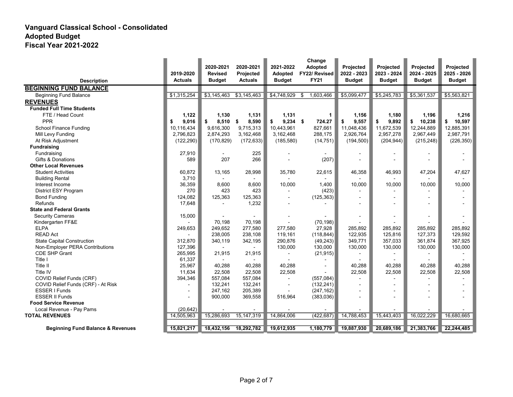|                                              | 2019-2020                | 2020-2021<br><b>Revised</b> | 2020-2021<br>Projected | 2021-2022<br><b>Adopted</b> | Change<br>Adopted<br>FY22/ Revised | Projected<br>2022 - 2023 | Projected<br>2023 - 2024 | Projected<br>2024 - 2025 | Projected<br>2025 - 2026 |
|----------------------------------------------|--------------------------|-----------------------------|------------------------|-----------------------------|------------------------------------|--------------------------|--------------------------|--------------------------|--------------------------|
| <b>Description</b>                           | <b>Actuals</b>           | <b>Budget</b>               | <b>Actuals</b>         | <b>Budget</b>               | <b>FY21</b>                        | <b>Budget</b>            | <b>Budget</b>            | <b>Budget</b>            | <b>Budget</b>            |
| <b>BEGINNING FUND BALANCE</b>                |                          |                             |                        |                             |                                    |                          |                          |                          |                          |
| Beginning Fund Balance                       | \$1,315,254              | \$3,145,463                 | \$3,145,463            | \$4,748,929                 | 1,603,466<br>\$                    | \$5,099,477              | \$5,245,783              | \$5,361,537              | \$5,563,821              |
| <b>REVENUES</b>                              |                          |                             |                        |                             |                                    |                          |                          |                          |                          |
| <b>Funded Full Time Students</b>             |                          |                             |                        |                             |                                    |                          |                          |                          |                          |
| FTE / Head Count                             | 1,122                    | 1,130                       | 1,131                  | 1,131                       | 1                                  | 1,156                    | 1,180                    | 1,196                    | 1,216                    |
| PPR                                          | 9,016<br>\$              | $8,510$ \$<br>\$            | 8,590                  | \$<br>$9,234$ \$            | 724.27                             | 9,557<br>\$              | 9,892<br>\$              | \$ 10,238                | 10,597<br>\$             |
| School Finance Funding                       | 10,116,434               | 9,616,300                   | 9,715,313              | 10,443,961                  | 827,661                            | 11,048,436               | 11,672,539               | 12,244,889               | 12,885,391               |
| Mill Levy Funding                            | 2,796,823                | 2,874,293                   | 3,162,468              | 3,162,468                   | 288,175                            | 2,926,764                | 2,957,278                | 2,967,449                | 2,987,791                |
| At Risk Adjustment                           | (122, 290)               | (170, 829)                  | (172, 633)             | (185, 580)                  | (14, 751)                          | (194, 500)               | (204, 944)               | (215, 248)               | (226, 350)               |
| <b>Fundraising</b>                           |                          |                             |                        |                             |                                    |                          |                          |                          |                          |
| Fundraising                                  | 27,910                   | $\blacksquare$              | 225                    |                             |                                    |                          | $\blacksquare$           |                          |                          |
| Gifts & Donations                            | 589                      | 207                         | 266                    |                             | (207)                              |                          |                          |                          |                          |
| <b>Other Local Revenues</b>                  |                          |                             |                        |                             |                                    |                          |                          |                          |                          |
| <b>Student Activities</b>                    | 60,872                   | 13,165                      | 28,998                 | 35,780                      | 22,615                             | 46,358                   | 46,993                   | 47,204                   | 47,627                   |
| <b>Building Rental</b>                       | 3,710                    | $\blacksquare$              |                        |                             |                                    |                          |                          |                          |                          |
| Interest Income                              | 36,359                   | 8,600                       | 8,600                  | 10,000                      | 1,400                              | 10,000                   | 10,000                   | 10,000                   | 10,000                   |
| District ESY Program                         | 270                      | 423                         | 423                    |                             | (423)                              |                          |                          |                          |                          |
| <b>Bond Funding</b>                          | 124,082                  | 125,363                     | 125,363                |                             | (125, 363)                         |                          |                          |                          |                          |
| Refunds                                      | 17,648                   |                             | 1,232                  |                             |                                    |                          |                          |                          |                          |
| <b>State and Federal Grants</b>              |                          |                             |                        |                             |                                    |                          |                          |                          |                          |
| <b>Security Cameras</b>                      | 15,000                   |                             |                        |                             |                                    |                          | $\blacksquare$           | $\blacksquare$           |                          |
| Kindergarten FF&E                            |                          | 70,198                      | 70,198                 |                             | (70, 198)                          |                          |                          |                          |                          |
| <b>ELPA</b>                                  | 249,653                  | 249,652                     | 277,580                | 277,580                     | 27,928                             | 285.892                  | 285.892                  | 285.892                  | 285.892                  |
| <b>READ Act</b>                              |                          | 238,005                     | 238,108                | 119,161                     | (118, 844)                         | 122,935                  | 125,816                  | 127,373                  | 129.592                  |
| <b>State Capital Construction</b>            | 312,870                  | 340,119                     | 342,195                | 290,876                     | (49, 243)                          | 349,771                  | 357,033                  | 361,874                  | 367,925                  |
| Non-Employer PERA Contributions              | 127,396                  | $\blacksquare$              |                        | 130,000                     | 130,000                            | 130,000                  | 130,000                  | 130,000                  | 130,000                  |
| <b>CDE SHP Grant</b>                         | 265,995                  | 21,915                      | 21,915                 |                             | (21, 915)                          |                          |                          | $\blacksquare$           |                          |
| Title I                                      | 61,337                   |                             |                        |                             |                                    |                          |                          |                          |                          |
| Title II                                     | 25,967                   | 40,288                      | 40,288                 | 40,288                      |                                    | 40,288                   | 40,288                   | 40,288                   | 40,288                   |
| Title IV                                     | 11,634                   | 22,508                      | 22,508                 | 22,508                      |                                    | 22,508                   | 22,508                   | 22,508                   | 22,508                   |
| COVID Relief Funds (CRF)                     | 394,346                  | 557,084                     | 557,084                | $\blacksquare$              | (557,084)                          |                          |                          | $\overline{\phantom{a}}$ |                          |
| COVID Relief Funds (CRF) - At Risk           |                          | 132,241                     | 132,241                | $\blacksquare$              | (132, 241)                         |                          |                          |                          |                          |
| <b>ESSER I Funds</b>                         | $\overline{\phantom{a}}$ | 247,162                     | 205,389                |                             | (247, 162)                         |                          |                          |                          |                          |
| <b>ESSER II Funds</b>                        |                          | 900,000                     | 369,558                | 516.964                     | (383,036)                          |                          |                          |                          |                          |
| <b>Food Service Revenue</b>                  |                          |                             |                        |                             |                                    |                          |                          |                          |                          |
| Local Revenue - Pay Pams                     | (20, 642)                |                             |                        |                             |                                    |                          |                          |                          |                          |
| <b>TOTAL REVENUES</b>                        | 14,505,963               | 15,286,693                  | 15, 147, 319           | 14,864,006                  | (422, 687)                         | 14,788,453               | 15,443,403               | 16,022,229               | 16,680,665               |
| <b>Beginning Fund Balance &amp; Revenues</b> | 15,821,217               | 18,432,156                  | 18,292,782             | 19,612,935                  | 1,180,779                          | 19,887,930               | 20,689,186               | 21,383,766               | 22,244,485               |
|                                              |                          |                             |                        |                             |                                    |                          |                          |                          |                          |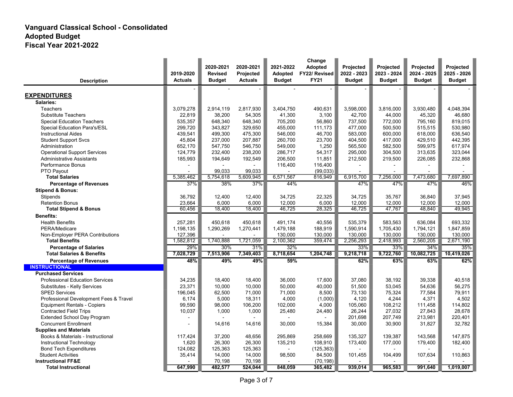|                                        |                | 2020-2021      | 2020-2021      | 2021-2022     | Change<br>Adopted    | Projected     | <b>Projected</b> | Projected     | <b>Projected</b> |
|----------------------------------------|----------------|----------------|----------------|---------------|----------------------|---------------|------------------|---------------|------------------|
|                                        | 2019-2020      | <b>Revised</b> | Projected      | Adopted       | <b>FY22/ Revised</b> | 2022 - 2023   | 2023 - 2024      | 2024 - 2025   | 2025 - 2026      |
| <b>Description</b>                     | <b>Actuals</b> | <b>Budget</b>  | <b>Actuals</b> | <b>Budget</b> | <b>FY21</b>          | <b>Budget</b> | <b>Budget</b>    | <b>Budget</b> | <b>Budget</b>    |
|                                        |                |                |                |               |                      |               |                  |               |                  |
| <b>EXPENDITURES</b>                    |                |                |                |               |                      |               |                  |               |                  |
| Salaries:                              |                |                |                |               |                      |               |                  |               |                  |
| <b>Teachers</b>                        | 3,079,278      | 2,914,119      | 2,817,930      | 3,404,750     | 490,631              | 3,598,000     | 3.816.000        | 3,930,480     | 4,048,394        |
| <b>Substitute Teachers</b>             | 22,819         | 38,200         | 54,305         | 41,300        | 3,100                | 42,700        | 44,000           | 45,320        | 46.680           |
| <b>Special Education Teachers</b>      | 535.357        | 648.340        | 648.340        | 705.200       | 56.860               | 737,500       | 772.000          | 795.160       | 819.015          |
| Special Education Para's/ESL           | 299,720        | 343.827        | 329,650        | 455,000       | 111,173              | 477,000       | 500,500          | 515,515       | 530.980          |
| <b>Instructional Aides</b>             | 439,541        | 499,300        | 475,300        | 546,000       | 46,700               | 583,000       | 600,000          | 618,000       | 636,540          |
| <b>Student Support Svcs</b>            | 45,804         | 237,000        | 207,887        | 260,700       | 23,700               | 404,500       | 417,000          | 429,510       | 442,395          |
| Administration                         | 652,170        | 547,750        | 546,750        | 549,000       | 1,250                | 565,500       | 582,500          | 599,975       | 617,974          |
| <b>Operational Support Services</b>    | 124,779        | 232,400        | 238,200        | 286,717       | 54,317               | 295,000       | 304,500          | 313,635       | 323,044          |
| <b>Administrative Assistants</b>       | 185,993        | 194,649        | 192,549        | 206,500       | 11,851               | 212,500       | 219,500          | 226,085       | 232,868          |
| Performance Bonus                      |                |                |                | 116,400       | 116,400              |               |                  |               |                  |
| PTO Payout                             |                | 99.033         | 99.033         |               | (99,033)             |               |                  |               |                  |
| <b>Total Salaries</b>                  | 5,385,462      | 5,754,618      | 5,609,945      | 6,571,567     | 816,949              | 6,915,700     | 7,256,000        | 7,473,680     | 7,697,890        |
| <b>Percentage of Revenues</b>          | 37%            | 38%            | 37%            | 44%           |                      | 47%           | 47%              | 47%           | 46%              |
| <b>Stipend &amp; Bonus:</b>            |                |                |                |               |                      |               |                  |               |                  |
| Stipends                               | 36,792         | 12,400         | 12,400         | 34,725        | 22,325               | 34,725        | 35,767           | 36,840        | 37,945           |
| <b>Retention Bonus</b>                 | 23,664         | 6,000          | 6,000          | 12,000        | 6,000                | 12,000        | 12,000           | 12,000        | 12,000           |
| <b>Total Stipend &amp; Bonus</b>       | 60,456         | 18,400         | 18,400         | 46,725        | 28,325               | 46,725        | 47,767           | 48,840        | 49,945           |
| <b>Benefits:</b>                       |                |                |                |               |                      |               |                  |               |                  |
| <b>Health Benefits</b>                 | 257,281        | 450,618        | 450,618        | 491,174       | 40,556               | 535,379       | 583,563          | 636.084       | 693,332          |
| PERA/Medicare                          | 1,198,135      | 1,290,269      | 1,270,441      | 1,479,188     | 188,919              | 1,590,914     | 1,705,430        | 1,794,121     | 1,847,859        |
| Non-Employer PERA Contributions        | 127,396        |                |                | 130,000       | 130,000              | 130,000       | 130,000          | 130.000       | 130,000          |
| <b>Total Benefits</b>                  | 1,582,812      | 1,740,888      | 1,721,059      | 2,100,362     | 359,474              | 2,256,293     | 2,418,993        | 2,560,205     | 2,671,190        |
| <b>Percentage of Salaries</b>          | 29%            | 30%            | 31%            | 32%           |                      | 33%           | 33%              | 34%           | 35%              |
| <b>Total Salaries &amp; Benefits</b>   | 7,028,729      | 7,513,906      | 7,349,403      | 8,718,654     | 1,204,748            | 9,218,718     | 9,722,760        | 10,082,725    | 10,419,026       |
| <b>Percentage of Revenues</b>          | 48%            | 49%            | 49%            | 59%           |                      | 62%           | 63%              | 63%           | 62%              |
| <b>INSTRUCTIONAL</b>                   |                |                |                |               |                      |               |                  |               |                  |
| <b>Purchased Services</b>              |                |                |                |               |                      |               |                  |               |                  |
| <b>Professional Education Services</b> | 34,235         | 18,400         | 18,400         | 36.000        | 17.600               | 37.080        | 38,192           | 39.338        | 40.518           |
| Substitutes - Kelly Services           | 23,371         | 10.000         | 10.000         | 50.000        | 40.000               | 51.500        | 53.045           | 54.636        | 56.275           |
| <b>SPED Services</b>                   | 196,045        | 62,500         | 71,000         | 71,000        | 8,500                | 73,130        | 75,324           | 77,584        | 79,911           |
| Professional Development Fees & Travel | 6,174          | 5,000          | 18,311         | 4,000         | (1,000)              | 4,120         | 4,244            | 4,371         | 4,502            |
| <b>Equipment Rentals - Copiers</b>     | 99,590         | 98,000         | 106,200        | 102,000       | 4,000                | 105,060       | 108,212          | 111,458       | 114,802          |
| <b>Contracted Field Trips</b>          | 10,037         | 1,000          | 1,000          | 25,480        | 24,480               | 26,244        | 27,032           | 27,843        | 28,678           |
| <b>Extended School Day Program</b>     |                |                |                |               |                      | 201,698       | 207,749          | 213,981       | 220,401          |
| <b>Concurrent Enrollment</b>           | $\overline{a}$ | 14,616         | 14,616         | 30,000        | 15,384               | 30,000        | 30,900           | 31,827        | 32,782           |
| <b>Supplies and Materials</b>          |                |                |                |               |                      |               |                  |               |                  |
| Books & Materials - Instructional      | 117,424        | 37,200         | 48,656         | 295,869       | 258,669              | 135,327       | 139,387          | 143,568       | 147,875          |
| Instructional Technology               | 1,620          | 26,300         | 26,300         | 135,210       | 108,910              | 173,400       | 177,000          | 179,400       | 182,400          |
| <b>Bond Tech Expenditures</b>          | 124,082        | 125,363        | 125,363        |               | (125, 363)           |               |                  |               |                  |
| <b>Student Activities</b>              | 35,414         | 14,000         | 14,000         | 98,500        | 84,500               | 101,455       | 104,499          | 107,634       | 110.863          |
| <b>Instructional FF&amp;E</b>          |                | 70,198         | 70,198         |               | (70, 198)            |               |                  |               |                  |
| <b>Total Instructional</b>             | 647,990        | 482,577        | 524,044        | 848,059       | 365,482              | 939,014       | 965,583          | 991,640       | 1,019,007        |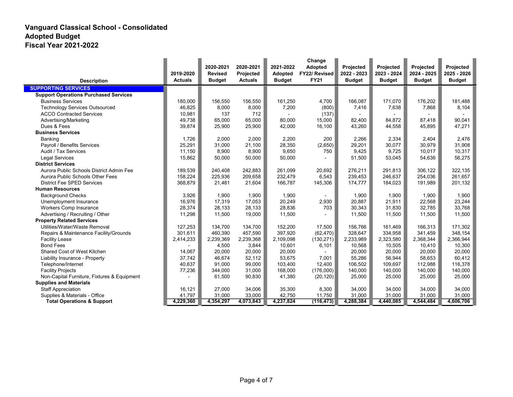|                                              |                | 2020-2021      | 2020-2021      | 2021-2022      | Change<br><b>Adopted</b> | Projected     | Projected     | Projected     | Projected     |
|----------------------------------------------|----------------|----------------|----------------|----------------|--------------------------|---------------|---------------|---------------|---------------|
|                                              | 2019-2020      | <b>Revised</b> | Projected      | <b>Adopted</b> | FY22/ Revised            | 2022 - 2023   | 2023 - 2024   | 2024 - 2025   | 2025 - 2026   |
| <b>Description</b>                           | <b>Actuals</b> | <b>Budget</b>  | <b>Actuals</b> | <b>Budget</b>  | <b>FY21</b>              | <b>Budget</b> | <b>Budget</b> | <b>Budget</b> | <b>Budget</b> |
| <b>SUPPORTING SERVICES</b>                   |                |                |                |                |                          |               |               |               |               |
| <b>Support Operations Purchased Services</b> |                |                |                |                |                          |               |               |               |               |
| <b>Business Services</b>                     | 180,000        | 156,550        | 156,550        | 161,250        | 4,700                    | 166,087       | 171,070       | 176,202       | 181,488       |
| <b>Technology Services Outsourced</b>        | 46,825         | 8,000          | 8,000          | 7,200          | (800)                    | 7,416         | 7,638         | 7,868         | 8,104         |
| <b>ACCO Contracted Services</b>              | 10,981         | 137            | 712            |                | (137)                    |               |               |               |               |
| Advertising/Marketing                        | 49,738         | 65,000         | 65,000         | 80,000         | 15,000                   | 82,400        | 84,872        | 87,418        | 90,041        |
| Dues & Fees                                  | 39,874         | 25,900         | 25,900         | 42,000         | 16,100                   | 43,260        | 44,558        | 45,895        | 47,271        |
| <b>Business Services</b>                     |                |                |                |                |                          |               |               |               |               |
| Banking                                      | 1,726          | 2,000          | 2,000          | 2,200          | 200                      | 2,266         | 2,334         | 2,404         | 2,476         |
| Payroll / Benefits Services                  | 25,291         | 31,000         | 21.100         | 28,350         | (2,650)                  | 29,201        | 30,077        | 30,979        | 31,908        |
| Audit / Tax Services                         | 11,150         | 8,900          | 8,900          | 9,650          | 750                      | 9,425         | 9,725         | 10,017        | 10,317        |
| <b>Legal Services</b>                        | 15,862         | 50,000         | 50,000         | 50,000         |                          | 51,500        | 53,045        | 54,636        | 56,275        |
| <b>District Services</b>                     |                |                |                |                |                          |               |               |               |               |
| Aurora Public Schools District Admin Fee     | 189,539        | 240,408        | 242,883        | 261,099        | 20,692                   | 276,211       | 291,813       | 306,122       | 322,135       |
| Aurora Public Schools Other Fees             | 158,224        | 225,936        | 209,658        | 232,479        | 6,543                    | 239,453       | 246.637       | 254,036       | 261.657       |
| <b>District Fee SPED Services</b>            | 368,879        | 21,481         | 21,604         | 166,787        | 145,306                  | 174,777       | 184,023       | 191,989       | 201,132       |
| <b>Human Resources</b>                       |                |                |                |                |                          |               |               |               |               |
| <b>Background Checks</b>                     | 3,926          | 1,900          | 1,900          | 1,900          |                          | 1,900         | 1,900         | 1,900         | 1,900         |
| Unemployment Insurance                       | 16,976         | 17,319         | 17,053         | 20,249         | 2,930                    | 20,887        | 21,911        | 22,568        | 23,244        |
| <b>Workers Comp Insurance</b>                | 28,374         | 28,133         | 28,133         | 28,836         | 703                      | 30,343        | 31,830        | 32,785        | 33,768        |
| Advertising / Recruiting / Other             | 11,298         | 11,500         | 19,000         | 11,500         |                          | 11,500        | 11,500        | 11,500        | 11,500        |
| <b>Property Related Services</b>             |                |                |                |                |                          |               |               |               |               |
| Utilities/Water/Waste Removal                | 127,253        | 134,700        | 134,700        | 152,200        | 17,500                   | 156,766       | 161,469       | 166,313       | 171,302       |
| Repairs & Maintenance Facility/Grounds       | 301.611        | 460,390        | 457,590        | 397,920        | (62, 470)                | 328,647       | 334,958       | 341,459       | 348,154       |
| <b>Facility Lease</b>                        | 2,414,233      | 2,239,369      | 2,239,368      | 2,109,098      | (130, 271)               | 2,233,989     | 2,323,580     | 2,368,344     | 2,366,944     |
| <b>Bond Fees</b>                             |                | 4,500          | 3,844          | 10,601         | 6,101                    | 10,568        | 10,505        | 10.410        | 10,300        |
| Shared Cost of West Kitchen                  | 14,067         | 20,000         | 20,000         | 20,000         |                          | 20,000        | 20,000        | 20,000        | 20,000        |
| Liability Insurance - Property               | 37,742         | 46,674         | 52,112         | 53,675         | 7,001                    | 55,286        | 56,944        | 58,653        | 60,412        |
| Telephone/Internet                           | 40,637         | 91,000         | 99,000         | 103,400        | 12,400                   | 106,502       | 109,697       | 112,988       | 116,378       |
| <b>Facility Projects</b>                     | 77,236         | 344,000        | 31,000         | 168,000        | (176,000)                | 140,000       | 140,000       | 140,000       | 140,000       |
| Non-Capital Furniture, Fixtures & Equipment  |                | 61,500         | 90,830         | 41,380         | (20, 120)                | 25,000        | 25,000        | 25,000        | 25,000        |
| <b>Supplies and Materials</b>                |                |                |                |                |                          |               |               |               |               |
| <b>Staff Appreciation</b>                    | 16,121         | 27,000         | 34,006         | 35,300         | 8,300                    | 34,000        | 34,000        | 34,000        | 34,000        |
| Supplies & Materials - Office                | 41,797         | 31,000         | 33,000         | 42,750         | 11,750                   | 31,000        | 31,000        | 31,000        | 31,000        |
| <b>Total Operations &amp; Support</b>        | 4,229,360      | 4,354,297      | 4,073,843      | 4,237,824      | (116, 473)               | 4,288,384     | 4,440,085     | 4,544,484     | 4,606,706     |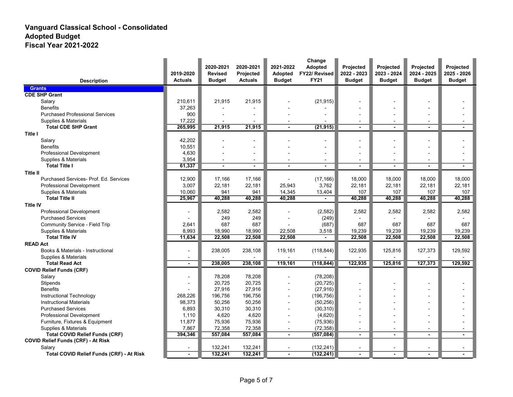|                                               | 2019-2020                | 2020-2021<br><b>Revised</b> | 2020-2021<br>Projected | 2021-2022<br>Adopted     | Change<br>Adopted<br>FY22/ Revised | Projected<br>2022 - 2023 | Projected<br>2023 - 2024 | Projected<br>2024 - 2025 | Projected<br>2025 - 2026 |
|-----------------------------------------------|--------------------------|-----------------------------|------------------------|--------------------------|------------------------------------|--------------------------|--------------------------|--------------------------|--------------------------|
| <b>Description</b>                            | <b>Actuals</b>           | <b>Budget</b>               | <b>Actuals</b>         | <b>Budget</b>            | <b>FY21</b>                        | <b>Budget</b>            | <b>Budget</b>            | <b>Budget</b>            | <b>Budget</b>            |
| <b>Grants</b>                                 |                          |                             |                        |                          |                                    |                          |                          |                          |                          |
| <b>CDE SHP Grant</b>                          |                          |                             |                        |                          |                                    |                          |                          |                          |                          |
| Salary                                        | 210,611                  | 21,915                      | 21,915                 |                          | (21, 915)                          |                          |                          |                          |                          |
| <b>Benefits</b>                               | 37,263                   |                             |                        |                          |                                    |                          |                          |                          |                          |
| <b>Purchased Professional Services</b>        | 900                      |                             |                        |                          |                                    |                          |                          |                          |                          |
| Supplies & Materials                          | 17,222                   | $\overline{\phantom{a}}$    |                        | $\overline{\phantom{0}}$ |                                    | $\overline{\phantom{a}}$ | $\overline{\phantom{0}}$ | $\overline{\phantom{a}}$ |                          |
| <b>Total CDE SHP Grant</b>                    | 265,995                  | 21,915                      | 21,915                 |                          | (21, 915)                          |                          |                          |                          |                          |
| Title I                                       |                          |                             |                        |                          |                                    |                          |                          |                          |                          |
| Salary                                        | 42,202                   |                             | ۰                      |                          |                                    | $\overline{\phantom{0}}$ |                          |                          |                          |
| <b>Benefits</b>                               | 10,551                   |                             | ۰                      |                          |                                    |                          |                          |                          |                          |
| Professional Development                      | 4,630                    |                             |                        |                          |                                    |                          |                          |                          |                          |
| Supplies & Materials                          | 3,954                    |                             |                        |                          | $\overline{a}$                     |                          |                          |                          |                          |
| <b>Total Title I</b>                          | 61,337                   |                             | $\blacksquare$         | ÷                        |                                    | $\blacksquare$           |                          |                          |                          |
| <b>Title II</b>                               |                          |                             |                        |                          |                                    |                          |                          |                          |                          |
| Purchased Services- Prof. Ed. Services        | 12,900                   | 17,166                      | 17,166                 |                          | (17, 166)                          | 18,000                   | 18,000                   | 18,000                   | 18,000                   |
| Professional Development                      | 3,007                    | 22,181                      | 22,181                 | 25,943                   | 3,762                              | 22,181                   | 22,181                   | 22,181                   | 22,181                   |
| Supplies & Materials                          | 10,060                   | 941                         | 941                    | 14,345                   | 13,404                             | 107                      | 107                      | 107                      | 107                      |
| <b>Total Title II</b>                         | 25,967                   | 40,288                      | 40,288                 | 40,288                   |                                    | 40,288                   | 40,288                   | 40,288                   | 40,288                   |
| <b>Title IV</b>                               |                          |                             |                        |                          |                                    |                          |                          |                          |                          |
| Professional Development                      |                          | 2,582                       | 2,582                  |                          | (2, 582)                           | 2,582                    | 2,582                    | 2,582                    | 2,582                    |
| <b>Purchased Services</b>                     |                          | 249                         | 249                    |                          | (249)                              |                          |                          |                          |                          |
| <b>Community Service - Field Trip</b>         | 2,641                    | 687                         | 687                    |                          | (687)                              | 687                      | 687                      | 687                      | 687                      |
| Supplies & Materials<br><b>Total Title IV</b> | 8,993<br>11,634          | 18,990<br>22,508            | 18,990                 | 22,508<br>22,508         | 3,518                              | 19,239                   | 19,239                   | 19,239                   | 19,239<br>22,508         |
|                                               |                          |                             | 22,508                 |                          |                                    | 22,508                   | 22,508                   | 22,508                   |                          |
| <b>READ Act</b>                               |                          |                             |                        |                          |                                    |                          |                          |                          |                          |
| Books & Materials - Instructional             |                          | 238,005                     | 238,108                | 119,161                  | (118, 844)                         | 122,935                  | 125,816                  | 127,373                  | 129,592                  |
| Supplies & Materials<br><b>Total Read Act</b> | $\overline{\phantom{a}}$ | 238,005                     | 238,108                | 119,161                  | (118, 844)                         | 122,935                  | 125,816                  | 127,373                  | 129,592                  |
| <b>COVID Relief Funds (CRF)</b>               |                          |                             |                        |                          |                                    |                          |                          |                          |                          |
| Salary                                        | $\overline{a}$           | 78,208                      | 78,208                 |                          | (78, 208)                          |                          |                          |                          |                          |
| Stipends                                      |                          | 20,725                      | 20,725                 |                          | (20, 725)                          |                          |                          |                          |                          |
| <b>Benefits</b>                               |                          | 27,916                      | 27,916                 |                          | (27, 916)                          |                          |                          |                          |                          |
| <b>Instructional Technology</b>               | 268,226                  | 196.756                     | 196.756                |                          | (196, 756)                         | $\overline{\phantom{a}}$ |                          |                          |                          |
| <b>Instructional Materials</b>                | 98,373                   | 50,256                      | 50,256                 |                          | (50, 256)                          |                          |                          |                          |                          |
| <b>Purchased Services</b>                     | 6,893                    | 30,310                      | 30,310                 |                          | (30, 310)                          | $\overline{\phantom{a}}$ |                          |                          |                          |
| Professional Development                      | 1,110                    | 4,620                       | 4,620                  |                          | (4,620)                            |                          |                          |                          |                          |
| Furniture, Fixtures & Equipment               | 11,877                   | 75,936                      | 75,936                 |                          | (75, 936)                          |                          |                          |                          |                          |
| Supplies & Materials                          | 7,867                    | 72,358                      | 72,358                 |                          | (72, 358)                          |                          |                          |                          |                          |
| <b>Total COVID Relief Funds (CRF)</b>         | 394,346                  | 557,084                     | 557,084                | $\overline{a}$           | (557, 084)                         | $\blacksquare$           | $\blacksquare$           | $\blacksquare$           | $\blacksquare$           |
| <b>COVID Relief Funds (CRF) - At Risk</b>     |                          |                             |                        |                          |                                    |                          |                          |                          |                          |
| Salary                                        |                          | 132,241                     | 132,241                |                          | (132, 241)                         |                          |                          |                          |                          |
| Total COVID Relief Funds (CRF) - At Risk      |                          | 132,241                     | 132,241                |                          | (132, 241)                         | $\blacksquare$           |                          |                          |                          |
|                                               |                          |                             |                        |                          |                                    |                          |                          |                          |                          |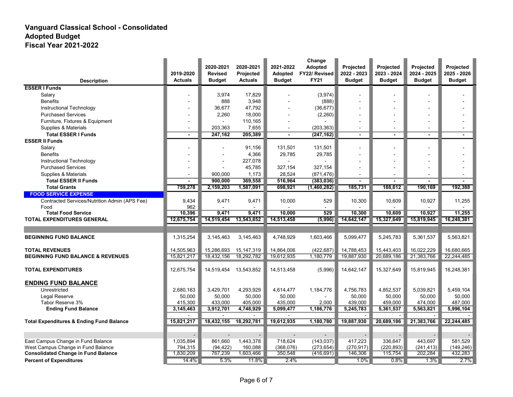|                                                     |                     | 2020-2021                | 2020-2021           | 2021-2022           | Change<br>Adopted | Projected           | <b>Projected</b>    | Projected           | Projected           |
|-----------------------------------------------------|---------------------|--------------------------|---------------------|---------------------|-------------------|---------------------|---------------------|---------------------|---------------------|
|                                                     | 2019-2020           | <b>Revised</b>           | Projected           | <b>Adopted</b>      | FY22/ Revised     | 2022 - 2023         | 2023 - 2024         | 2024 - 2025         | 2025 - 2026         |
| <b>Description</b>                                  | <b>Actuals</b>      | <b>Budget</b>            | <b>Actuals</b>      | <b>Budget</b>       | <b>FY21</b>       | <b>Budget</b>       | <b>Budget</b>       | <b>Budget</b>       | <b>Budget</b>       |
| <b>ESSER I Funds</b>                                |                     |                          |                     |                     |                   |                     |                     |                     |                     |
| Salary                                              |                     | 3,974                    | 17,829              |                     | (3,974)           |                     |                     |                     |                     |
| <b>Benefits</b>                                     |                     | 888                      | 3,948               |                     | (888)             |                     |                     |                     |                     |
| Instructional Technology                            |                     | 36,677                   | 47,792              |                     | (36, 677)         |                     |                     |                     |                     |
| <b>Purchased Services</b>                           |                     | 2,260                    | 18,000              |                     | (2,260)           |                     |                     |                     |                     |
| Furniture, Fixtures & Equipment                     |                     |                          | 110,165             |                     |                   |                     |                     |                     |                     |
| Supplies & Materials                                |                     | 203,363                  | 7,655               |                     | (203, 363)        |                     |                     |                     |                     |
| <b>Total ESSER I Funds</b>                          | $\blacksquare$      | 247,162                  | 205,389             | $\blacksquare$      | (247, 162)        | $\overline{a}$      | $\overline{a}$      | $\blacksquare$      | $\blacksquare$      |
| <b>ESSER II Funds</b>                               |                     |                          |                     |                     |                   |                     |                     |                     |                     |
| Salary                                              |                     |                          | 91,156              | 131,501             | 131,501           |                     |                     |                     |                     |
| <b>Benefits</b>                                     |                     | $\overline{\phantom{a}}$ | 4,366               | 29,785              | 29,785            | $\overline{a}$      |                     |                     |                     |
| Instructional Technology                            |                     |                          | 227,078             |                     |                   |                     |                     |                     |                     |
| <b>Purchased Services</b>                           |                     | $\blacksquare$           | 45,785              | 327,154             | 327,154           | $\overline{a}$      |                     |                     |                     |
| Supplies & Materials                                |                     | 900.000                  | 1,173               | 28,524              | (871, 476)        |                     |                     |                     |                     |
| <b>Total ESSER II Funds</b>                         |                     | 900,000                  | 369,558             | 516,964             | (383,036)         |                     |                     |                     |                     |
| <b>Total Grants</b>                                 | 759,278             | 2,159,203                | 1,587,091           | 698,921             | (1,460,282)       | 185,731             | 188,612             | 190,169             | 192,388             |
| <b>FOOD SERVICE EXPENSE</b>                         |                     |                          |                     |                     |                   |                     |                     |                     |                     |
| Contracted Services/Nutrition Admin (APS Fee)       | 9,434               | 9,471                    | 9,471               | 10,000              | 529               | 10,300              | 10,609              | 10,927              | 11,255              |
| Food                                                | 962                 |                          |                     |                     |                   |                     |                     |                     |                     |
| <b>Total Food Service</b>                           | 10,396              | 9,471                    | 9,471               | 10,000              | 529               | 10,300              | 10,609              | 10,927              | 11,255              |
| <b>TOTAL EXPENDITURES GENERAL</b>                   | 12,675,754          | 14,519,454               | 13,543,852          | 14,513,458          | (5,996)           | 14,642,147          | 15,327,649          | 15,819,945          | 16,248,381          |
|                                                     |                     |                          |                     |                     |                   |                     |                     |                     |                     |
| <b>BEGINNING FUND BALANCE</b>                       | 1,315,254           | 3,145,463                | 3,145,463           | 4,748,929           | 1,603,466         | 5,099,477           | 5,245,783           | 5,361,537           | 5,563,821           |
| <b>TOTAL REVENUES</b>                               | 14,505,963          | 15,286,693               | 15, 147, 319        | 14,864,006          | (422, 687)        | 14,788,453          | 15,443,403          | 16,022,229          | 16,680,665          |
| <b>BEGINNING FUND BALANCE &amp; REVENUES</b>        | 15,821,217          | 18,432,156               | 18,292,782          | 19,612,935          | 1,180,779         | 19,887,930          | 20,689,186          | 21,383,766          | 22,244,485          |
| <b>TOTAL EXPENDITURES</b>                           | 12,675,754          | 14,519,454 13,543,852    |                     | 14,513,458          | (5,996)           | 14,642,147          | 15,327,649          | 15,819,945          | 16,248,381          |
| <b>ENDING FUND BALANCE</b>                          |                     |                          |                     |                     |                   |                     |                     |                     |                     |
| Unrestricted                                        |                     |                          |                     |                     |                   |                     |                     |                     |                     |
| Legal Reserve                                       | 2,680,163<br>50,000 | 3,429,701<br>50.000      | 4,293,929<br>50,000 | 4,614,477<br>50,000 | 1,184,776         | 4,756,783<br>50,000 | 4,852,537<br>50,000 | 5,039,821<br>50.000 | 5,459,104<br>50,000 |
| Tabor Reserve 3%                                    | 415,300             | 433,000                  | 405,000             | 435,000             | 2,000             | 439,000             | 459,000             | 474,000             | 487,000             |
| <b>Ending Fund Balance</b>                          | 3,145,463           | 3,912,701                | 4,748,929           | 5,099,477           | 1,186,776         | 5,245,783           | 5,361,537           | 5,563,821           | 5,996,104           |
|                                                     |                     | $\overline{a}$           |                     |                     |                   |                     |                     |                     |                     |
| <b>Total Expenditures &amp; Ending Fund Balance</b> | 15,821,217          | 18,432,155               | 18,292,781          | 19,612,935          | 1,180,780         | 19,887,930          | 20,689,186          | 21,383,766          | 22,244,485          |
|                                                     |                     |                          |                     |                     |                   |                     |                     |                     |                     |
|                                                     |                     |                          |                     |                     |                   |                     |                     |                     |                     |
| East Campus Change in Fund Balance                  | 1,035,894           | 861,660                  | 1,443,378           | 718,624             | (143, 037)        | 417,223             | 336,647             | 443,697             | 581,529             |
| West Campus Change in Fund Balance                  | 794,315             | (94, 422)                | 160,088             | (368, 076)          | (273, 654)        | (270, 917)          | (220, 893)          | (241, 413)          | (149, 246)          |
| <b>Consolidated Change in Fund Balance</b>          | 1,830,209           | 767,239                  | 1,603,466           | 350,548             | (416, 691)        | 146,306             | 115,754             | 202,284             | 432,283             |
| <b>Percent of Expenditures</b>                      | 14.4%               | 5.3%                     | 11.8%               | 2.4%                |                   | 1.0%                | 0.8%                | 1.3%                | 2.7%                |